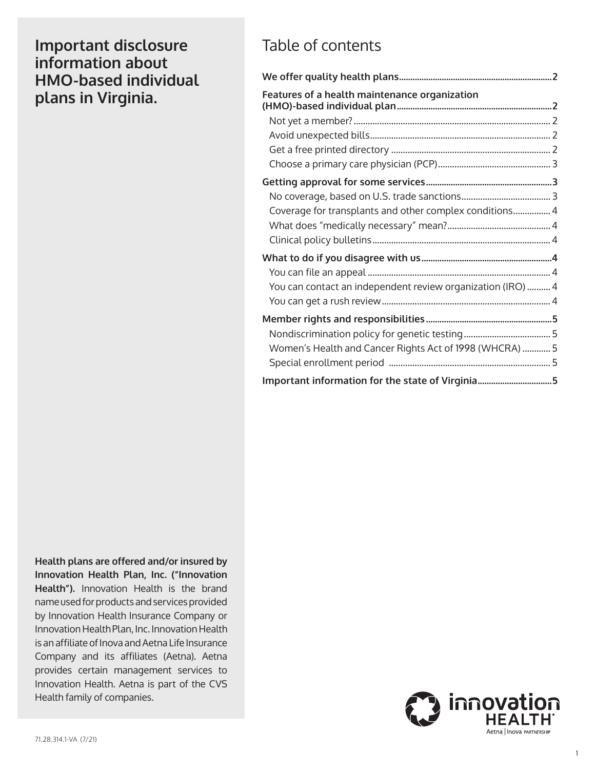**Important disclosure information about HMO-based individual plans in Virginia.** 

## Table of contents

| Features of a health maintenance organization               |  |
|-------------------------------------------------------------|--|
|                                                             |  |
|                                                             |  |
|                                                             |  |
|                                                             |  |
|                                                             |  |
|                                                             |  |
| Coverage for transplants and other complex conditions 4     |  |
|                                                             |  |
|                                                             |  |
|                                                             |  |
|                                                             |  |
| You can contact an independent review organization (IRO)  4 |  |
|                                                             |  |
|                                                             |  |
|                                                             |  |
| Women's Health and Cancer Rights Act of 1998 (WHCRA)  5     |  |
|                                                             |  |
| Important information for the state of Virginia5            |  |

 **Health").** Innovation Health is the brand provides certain management services to **Health plans are offered and/or insured by Innovation Health Plan, Inc. ("Innovation**  name used for products and services provided by Innovation Health Insurance Company or Innovation Health Plan, Inc. Innovation Health is an affiliate of Inova and Aetna Life Insurance Company and its affiliates (Aetna). Aetna Innovation Health. Aetna is part of the CVS Health family of companies.

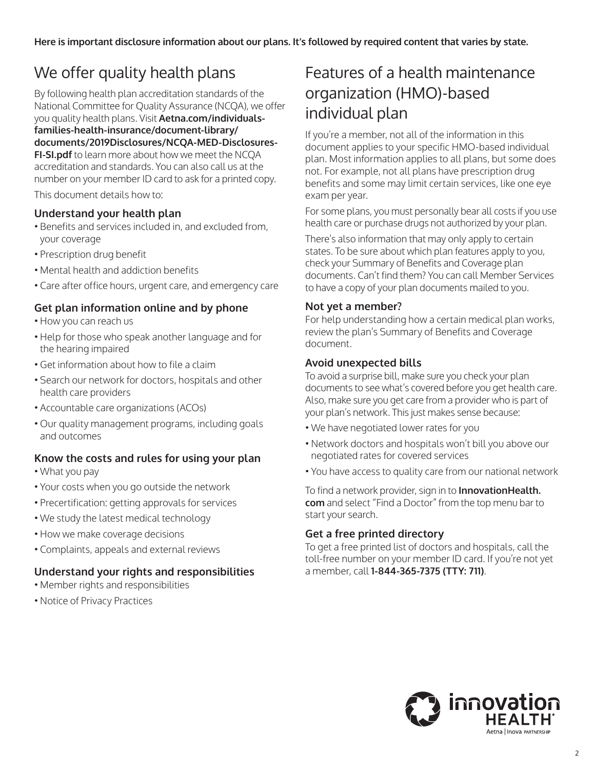# <span id="page-1-0"></span>We offer quality health plans

By following health plan accreditation standards of the National Committee for Quality Assurance (NCQA), we offer you quality health plans. Visit **[Aetna.com/individuals](http://www.aetna.com/individuals-families-health-insurance/document-library/documents/2019Disclosures/NCQA-MED-Disclosures-FI-SI.pdf)families-health-insurance/document-library/ [documents/2019Disclosures/NCQA-MED-Disclosures-](http://www.aetna.com/individuals-families-health-insurance/document-library/documents/2019Disclosures/NCQA-MED-Disclosures-FI-SI.pdf)[FI-SI.pdf](http://www.aetna.com/individuals-families-health-insurance/document-library/documents/2019Disclosures/NCQA-MED-Disclosures-FI-SI.pdf)** to learn more about how we meet the NCQA accreditation and standards. You can also call us at the number on your member ID card to ask for a printed copy.

This document details how to:

#### **Understand your health plan**

- Benefits and services included in, and excluded from, your coverage
- Prescription drug benefit
- Mental health and addiction benefits
- Care after office hours, urgent care, and emergency care

#### **Get plan information online and by phone**

- How you can reach us
- Help for those who speak another language and for the hearing impaired
- Get information about how to file a claim
- Search our network for doctors, hospitals and other health care providers
- Accountable care organizations (ACOs)
- Our quality management programs, including goals and outcomes

#### **Know the costs and rules for using your plan**

- What you pay
- Your costs when you go outside the network
- Precertification: getting approvals for services
- We study the latest medical technology
- How we make coverage decisions
- Complaints, appeals and external reviews

## **Understand your rights and responsibilities**

- Member rights and responsibilities
- Notice of Privacy Practices

# Features of a health maintenance organization (HMO)-based individual plan

If you're a member, not all of the information in this document applies to your specific HMO-based individual plan. Most information applies to all plans, but some does not. For example, not all plans have prescription drug benefits and some may limit certain services, like one eye exam per year.

For some plans, you must personally bear all costs if you use health care or purchase drugs not authorized by your plan.

There's also information that may only apply to certain states. To be sure about which plan features apply to you, check your Summary of Benefits and Coverage plan documents. Can't find them? You can call Member Services to have a copy of your plan documents mailed to you.

#### **Not yet a member?**

For help understanding how a certain medical plan works, review the plan's Summary of Benefits and Coverage document.

#### **Avoid unexpected bills**

To avoid a surprise bill, make sure you check your plan documents to see what's covered before you get health care. Also, make sure you get care from a provider who is part of your plan's network. This just makes sense because:

- We have negotiated lower rates for you
- Network doctors and hospitals won't bill you above our negotiated rates for covered services
- You have access to quality care from our national network

To find a network provider, sign in to **[InnovationHealth.](http://www.InnovationHealth.com)  [com](http://www.InnovationHealth.com)** and select "Find a Doctor" from the top menu bar to start your search.

#### **Get a free printed directory**

To get a free printed list of doctors and hospitals, call the toll-free number on your member ID card. If you're not yet a member, call **1-844-365-7375 (TTY: 711)**.

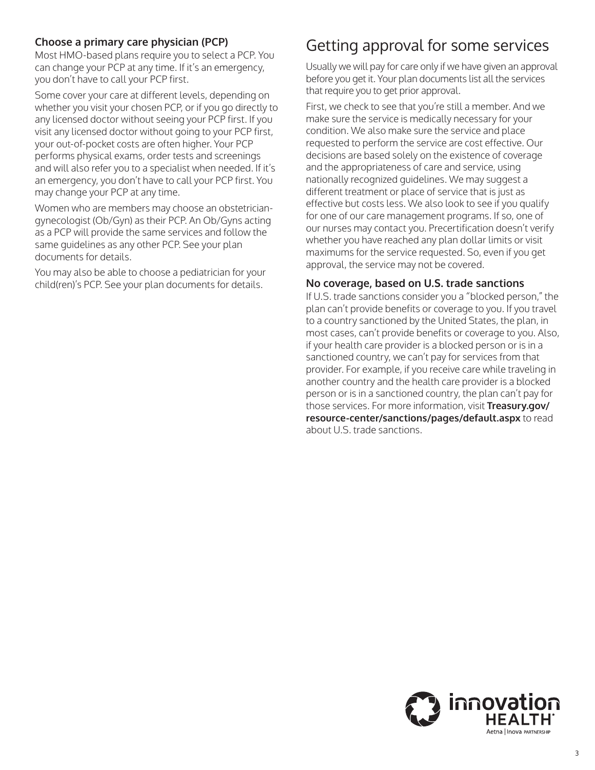## <span id="page-2-0"></span>**Choose a primary care physician (PCP)**

Most HMO-based plans require you to select a PCP. You can change your PCP at any time. If it's an emergency, you don't have to call your PCP first.

Some cover your care at different levels, depending on whether you visit your chosen PCP, or if you go directly to any licensed doctor without seeing your PCP first. If you visit any licensed doctor without going to your PCP first, your out-of-pocket costs are often higher. Your PCP performs physical exams, order tests and screenings and will also refer you to a specialist when needed. If it's an emergency, you don't have to call your PCP first. You may change your PCP at any time.

Women who are members may choose an obstetriciangynecologist (Ob/Gyn) as their PCP. An Ob/Gyns acting as a PCP will provide the same services and follow the same guidelines as any other PCP. See your plan documents for details.

You may also be able to choose a pediatrician for your child(ren)'s PCP. See your plan documents for details.

## Getting approval for some services

Usually we will pay for care only if we have given an approval before you get it. Your plan documents list all the services that require you to get prior approval.

First, we check to see that you're still a member. And we make sure the service is medically necessary for your condition. We also make sure the service and place requested to perform the service are cost effective. Our decisions are based solely on the existence of coverage and the appropriateness of care and service, using nationally recognized guidelines. We may suggest a different treatment or place of service that is just as effective but costs less. We also look to see if you qualify for one of our care management programs. If so, one of our nurses may contact you. Precertification doesn't verify whether you have reached any plan dollar limits or visit maximums for the service requested. So, even if you get approval, the service may not be covered.

#### **No coverage, based on U.S. trade sanctions**

If U.S. trade sanctions consider you a "blocked person," the plan can't provide benefits or coverage to you. If you travel to a country sanctioned by the United States, the plan, in most cases, can't provide benefits or coverage to you. Also, if your health care provider is a blocked person or is in a sanctioned country, we can't pay for services from that provider. For example, if you receive care while traveling in another country and the health care provider is a blocked person or is in a sanctioned country, the plan can't pay for those services. For more information, visit **[Treasury.gov/](https://www.treasury.gov/resource-center/sanctions/pages/default.aspx) [resource-center/sanctions/pages/default.aspx](https://www.treasury.gov/resource-center/sanctions/pages/default.aspx)** to read about U.S. trade sanctions.

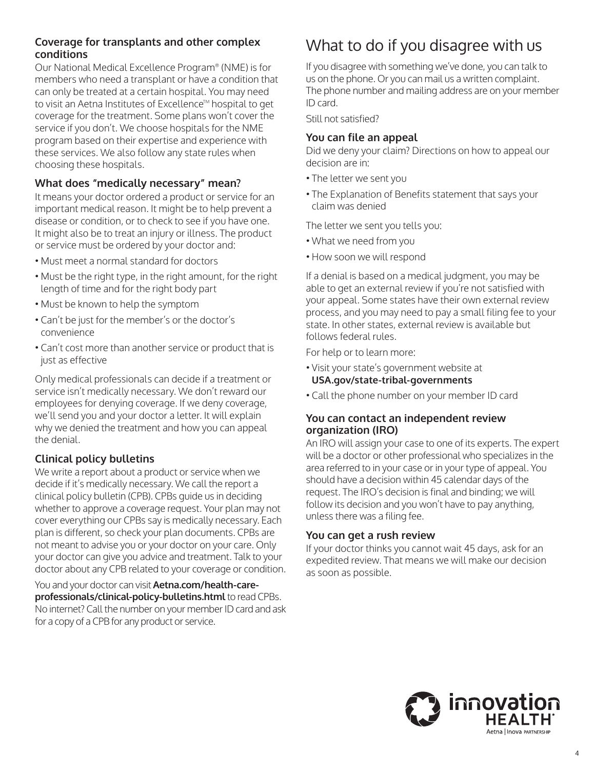## <span id="page-3-0"></span>**Coverage for transplants and other complex conditions**

Our National Medical Excellence Program® (NME) is for members who need a transplant or have a condition that can only be treated at a certain hospital. You may need to visit an Aetna Institutes of Excellence™ hospital to get coverage for the treatment. Some plans won't cover the service if you don't. We choose hospitals for the NME program based on their expertise and experience with these services. We also follow any state rules when choosing these hospitals.

## **What does "medically necessary" mean?**

It means your doctor ordered a product or service for an important medical reason. It might be to help prevent a disease or condition, or to check to see if you have one. It might also be to treat an injury or illness. The product or service must be ordered by your doctor and:

- Must meet a normal standard for doctors
- Must be the right type, in the right amount, for the right length of time and for the right body part
- Must be known to help the symptom
- Can't be just for the member's or the doctor's convenience
- Can't cost more than another service or product that is just as effective

Only medical professionals can decide if a treatment or service isn't medically necessary. We don't reward our employees for denying coverage. If we deny coverage, we'll send you and your doctor a letter. It will explain why we denied the treatment and how you can appeal the denial.

## **Clinical policy bulletins**

We write a report about a product or service when we decide if it's medically necessary. We call the report a clinical policy bulletin (CPB). CPBs guide us in deciding whether to approve a coverage request. Your plan may not cover everything our CPBs say is medically necessary. Each plan is different, so check your plan documents. CPBs are not meant to advise you or your doctor on your care. Only your doctor can give you advice and treatment. Talk to your doctor about any CPB related to your coverage or condition.

You and your doctor can visit **[Aetna.com/health-care](http://www.Aetna.com/health-care-professionals/clinical-policy-bulletins.html)[professionals/clinical-policy-bulletins.html](http://www.Aetna.com/health-care-professionals/clinical-policy-bulletins.html)** to read CPBs. No internet? Call the number on your member ID card and ask for a copy of a CPB for any product or service.

# What to do if you disagree with us

If you disagree with something we've done, you can talk to us on the phone. Or you can mail us a written complaint. The phone number and mailing address are on your member ID card.

Still not satisfied?

### **You can file an appeal**

Did we deny your claim? Directions on how to appeal our decision are in:

- The letter we sent you
- The Explanation of Benefits statement that says your claim was denied

The letter we sent you tells you:

- What we need from you
- How soon we will respond

If a denial is based on a medical judgment, you may be able to get an external review if you're not satisfied with your appeal. Some states have their own external review process, and you may need to pay a small filing fee to your state. In other states, external review is available but follows federal rules.

For help or to learn more:

- Visit your state's government website at **[USA.gov/state-tribal-governments](http://www.USA.gov/state-tribal-governments)**
- Call the phone number on your member ID card

#### **You can contact an independent review organization (IRO)**

An IRO will assign your case to one of its experts. The expert will be a doctor or other professional who specializes in the area referred to in your case or in your type of appeal. You should have a decision within 45 calendar days of the request. The IRO's decision is final and binding; we will follow its decision and you won't have to pay anything, unless there was a filing fee.

## **You can get a rush review**

If your doctor thinks you cannot wait 45 days, ask for an expedited review. That means we will make our decision as soon as possible.

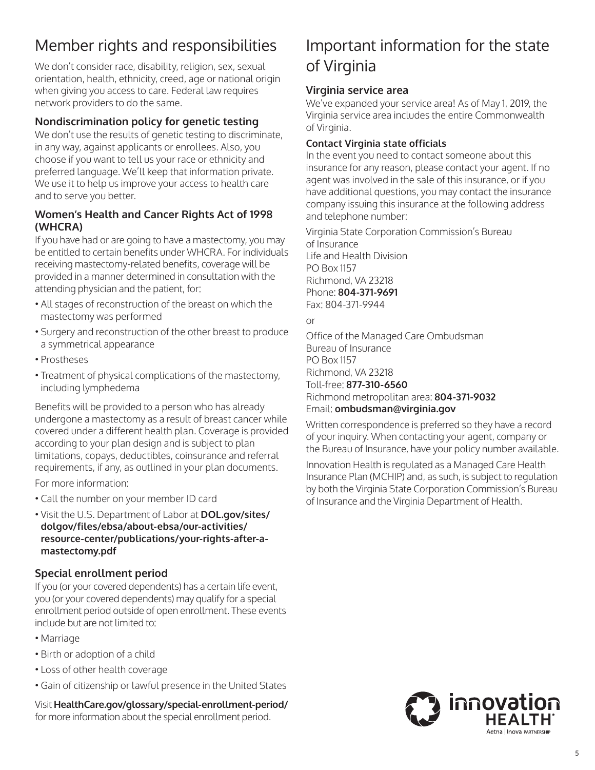# <span id="page-4-0"></span>Member rights and responsibilities

We don't consider race, disability, religion, sex, sexual orientation, health, ethnicity, creed, age or national origin when giving you access to care. Federal law requires network providers to do the same.

## **Nondiscrimination policy for genetic testing**

We don't use the results of genetic testing to discriminate, in any way, against applicants or enrollees. Also, you choose if you want to tell us your race or ethnicity and preferred language. We'll keep that information private. We use it to help us improve your access to health care and to serve you better.

### **Women's Health and Cancer Rights Act of 1998 (WHCRA)**

If you have had or are going to have a mastectomy, you may be entitled to certain benefits under WHCRA. For individuals receiving mastectomy-related benefits, coverage will be provided in a manner determined in consultation with the attending physician and the patient, for:

- All stages of reconstruction of the breast on which the mastectomy was performed
- Surgery and reconstruction of the other breast to produce a symmetrical appearance
- Prostheses
- Treatment of physical complications of the mastectomy, including lymphedema

Benefits will be provided to a person who has already undergone a mastectomy as a result of breast cancer while covered under a different health plan. Coverage is provided according to your plan design and is subject to plan limitations, copays, deductibles, coinsurance and referral requirements, if any, as outlined in your plan documents.

For more information:

- Call the number on your member ID card
- Visit the U.S. Department of Labor at **[DOL.gov/sites/](https://www.dol.gov/sites/dolgov/files/ebsa/about-ebsa/our-activities/resource-center/publications/your-rights-after-a-mastectomy.pdf) dolgov/files/ebsa/about-ebsa/our-activities/ [resource-center/publications/your-rights-after-a](https://www.dol.gov/sites/dolgov/files/ebsa/about-ebsa/our-activities/resource-center/publications/your-rights-after-a-mastectomy.pdf)mastectomy.pdf**

## **Special enrollment period**

If you (or your covered dependents) has a certain life event, you (or your covered dependents) may qualify for a special enrollment period outside of open enrollment. These events include but are not limited to:

- Marriage
- Birth or adoption of a child
- Loss of other health coverage
- Gain of citizenship or lawful presence in the United States

Visit **[HealthCare.gov/glossary/special-enrollment-period/](https://www.healthcare.gov/glossary/special-enrollment-period/)**  for more information about the special enrollment period.

## Important information for the state of Virginia

## **Virginia service area**

We've expanded your service area! As of May 1, 2019, the Virginia service area includes the entire Commonwealth of Virginia.

#### **Contact Virginia state officials**

In the event you need to contact someone about this insurance for any reason, please contact your agent. If no agent was involved in the sale of this insurance, or if you have additional questions, you may contact the insurance company issuing this insurance at the following address and telephone number:

 Phone: **804-371-9691** Virginia State Corporation Commission's Bureau of Insurance Life and Health Division PO Box 1157 Richmond, VA 23218 Fax: 804-371-9944

or

Office of the Managed Care Ombudsman Bureau of Insurance PO Box 1157 Richmond, VA 23218 Toll-free: **877-310-6560**  Richmond metropolitan area: **804-371-9032**  Email: **[ombudsman@virginia.gov](mailto:ombudsman@virginia.gov)** 

Written correspondence is preferred so they have a record of your inquiry. When contacting your agent, company or the Bureau of Insurance, have your policy number available.

Innovation Health is regulated as a Managed Care Health Insurance Plan (MCHIP) and, as such, is subject to regulation by both the Virginia State Corporation Commission's Bureau of Insurance and the Virginia Department of Health.

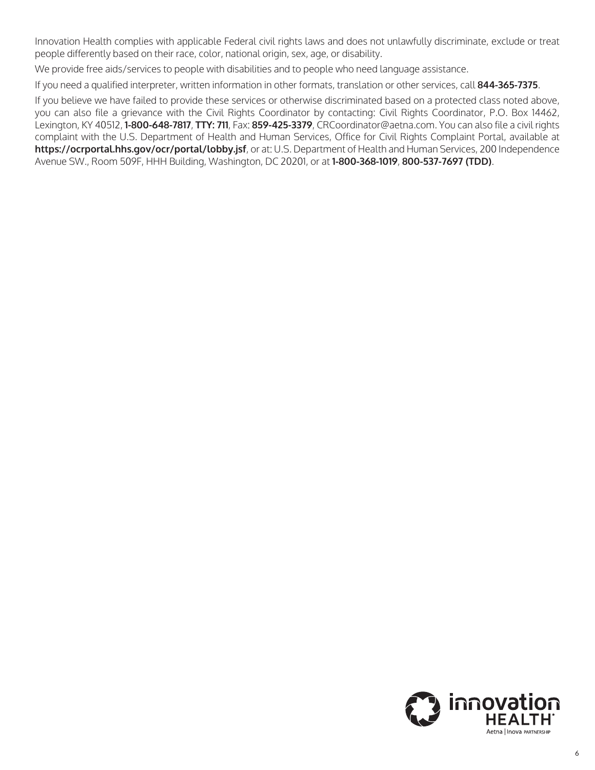Innovation Health complies with applicable Federal civil rights laws and does not unlawfully discriminate, exclude or treat people differently based on their race, color, national origin, sex, age, or disability.

We provide free aids/services to people with disabilities and to people who need language assistance.

If you need a qualified interpreter, written information in other formats, translation or other services, call **844-365-7375**.

If you believe we have failed to provide these services or otherwise discriminated based on a protected class noted above, you can also file a grievance with the Civil Rights Coordinator by contacting: Civil Rights Coordinator, P.O. Box 14462, Lexington, KY 40512, **1-800-648-7817**, **TTY: 711**, Fax: **859-425-3379**, CRCoordinator@aetna.com. You can also file a civil rights complaint with the U.S. Department of Health and Human Services, Office for Civil Rights Complaint Portal, available at **<https://ocrportal.hhs.gov/ocr/portal/lobby.jsf>**, or at: U.S. Department of Health and Human Services, 200 Independence Avenue SW., Room 509F, HHH Building, Washington, DC 20201, or at **1-800-368-1019**, **800-537-7697 (TDD)**.